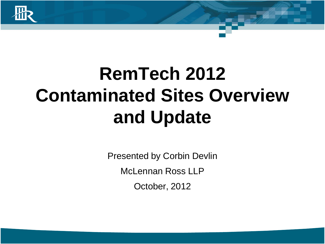

# **RemTech 2012 Contaminated Sites Overview and Update**

Presented by Corbin Devlin McLennan Ross LLP October, 2012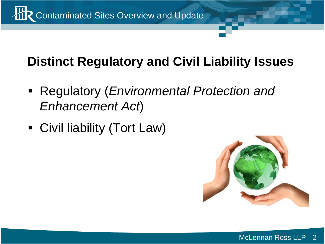

### **Distinct Regulatory and Civil Liability Issues**

- Regulatory (*Environmental Protection and Enhancement Act*)
- Civil liability (Tort Law)

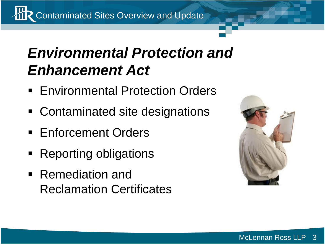**TR** Contaminated Sites Overview and Update

## *Environmental Protection and Enhancement Act*

- **Environmental Protection Orders**
- Contaminated site designations
- **Enforcement Orders**
- Reporting obligations
- Remediation and Reclamation Certificates

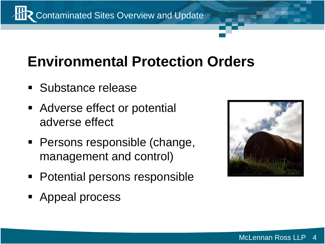**TR** Contaminated Sites Overview and Update

### **Environmental Protection Orders**

- **Substance release**
- Adverse effect or potential adverse effect
- **Persons responsible (change,** management and control)
- Potential persons responsible
- **Appeal process**

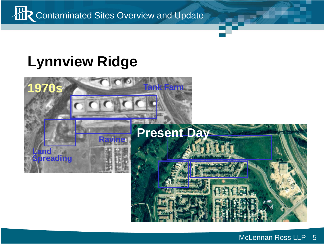

### **Lynnview Ridge**

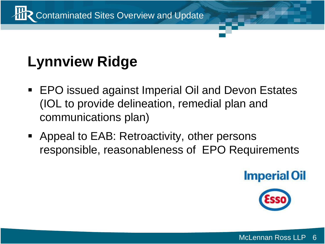

## **Lynnview Ridge**

- EPO issued against Imperial Oil and Devon Estates (IOL to provide delineation, remedial plan and communications plan)
- **-** Appeal to EAB: Retroactivity, other persons responsible, reasonableness of EPO Requirements



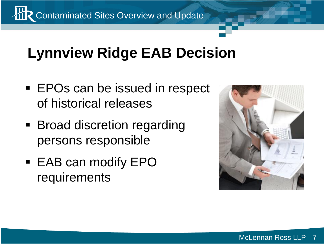

### **Lynnview Ridge EAB Decision**

- **EPOs can be issued in respect** of historical releases
- **Broad discretion regarding** persons responsible
- EAB can modify EPO requirements

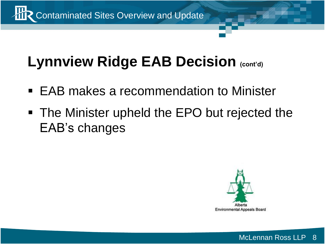

## **Lynnview Ridge EAB Decision (cont'd)**

- EAB makes a recommendation to Minister
- **The Minister upheld the EPO but rejected the** EAB's changes

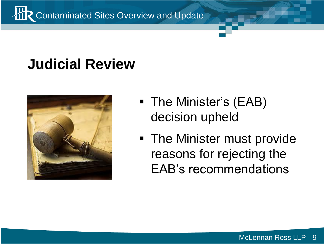

## **Judicial Review**



- The Minister's (EAB) decision upheld
- **The Minister must provide** reasons for rejecting the EAB's recommendations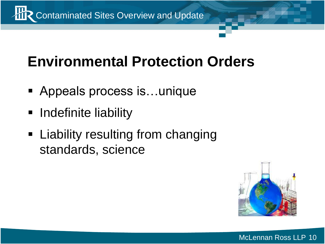

### **Environmental Protection Orders**

- Appeals process is...unique
- **-** Indefinite liability
- **Example 2 Liability resulting from changing** standards, science

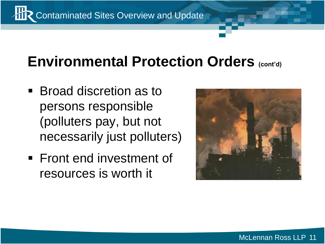**TR** Contaminated Sites Overview and Update

### **Environmental Protection Orders (cont'd)**

- Broad discretion as to persons responsible (polluters pay, but not necessarily just polluters)
- **Front end investment of** resources is worth it

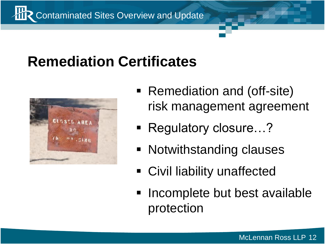

### **Remediation Certificates**



- Remediation and (off-site) risk management agreement
- Regulatory closure…?
- **Notwithstanding clauses**
- Civil liability unaffected
- Incomplete but best available protection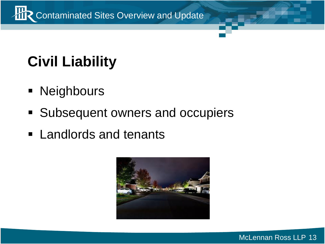

## **Civil Liability**

- **Neighbours**
- Subsequent owners and occupiers
- **Example rds** and tenants

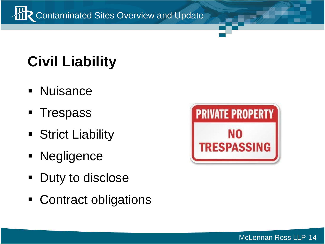**THR** Contaminated Sites Overview and Update

## **Civil Liability**

- **Nuisance**
- **Trespass**
- **Strict Liability**
- **Negligence**
- Duty to disclose
- Contract obligations

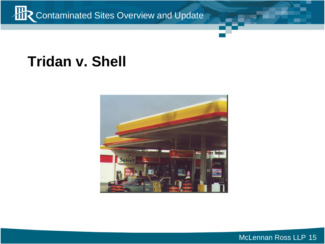

### **Tridan v. Shell**



McLennan Ross LLP 15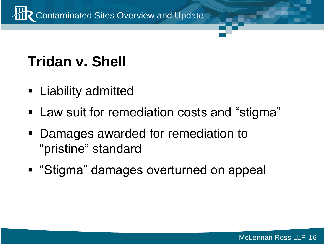

## **Tridan v. Shell**

- **E** Liability admitted
- **Law suit for remediation costs and "stigma"**
- Damages awarded for remediation to "pristine" standard
- "Stigma" damages overturned on appeal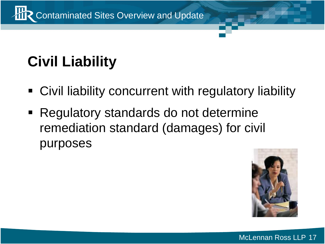

## **Civil Liability**

- Civil liability concurrent with regulatory liability
- Regulatory standards do not determine remediation standard (damages) for civil purposes

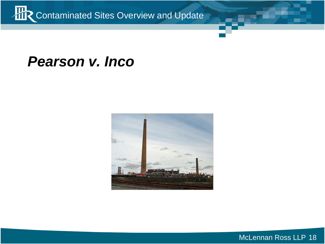

#### *Pearson v. Inco*

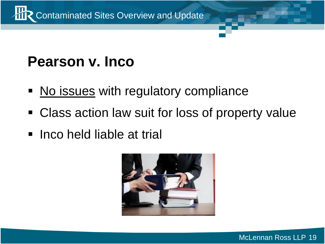

### **Pearson v. Inco**

- No issues with regulatory compliance
- Class action law suit for loss of property value
- **Inco held liable at trial**

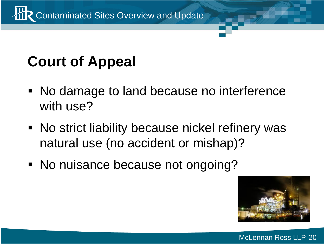

## **Court of Appeal**

- No damage to land because no interference with use?
- No strict liability because nickel refinery was natural use (no accident or mishap)?
- No nuisance because not ongoing?

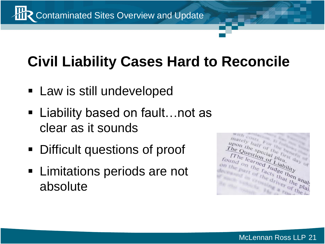

## **Civil Liability Cases Hard to Reconcile**

- **Law is still undeveloped**
- Liability based on fault…not as clear as it sounds
- Difficult questions of proof
- **Example 1** Limitations periods are not absolute

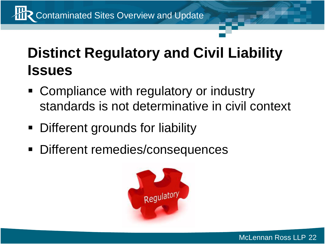## **Distinct Regulatory and Civil Liability Issues**

- Compliance with regulatory or industry standards is not determinative in civil context
- Different grounds for liability
- Different remedies/consequences

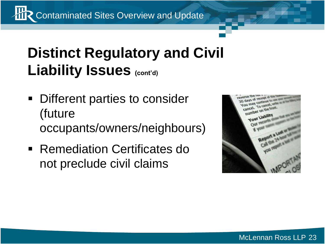**TR** Contaminated Sites Overview and Update

### **Distinct Regulatory and Civil Liability Issues (cont'd)**

- **Different parties to consider** (future occupants/owners/neighbours)
- **Remediation Certificates do** not preclude civil claims